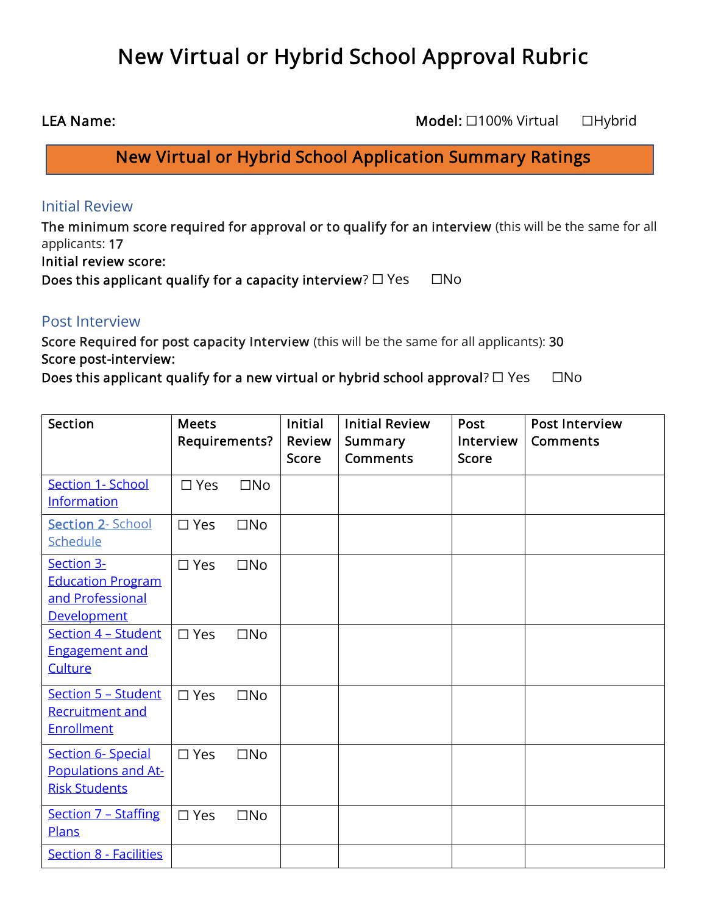# New Virtual or Hybrid School Approval Rubric

LEA Name: CHER Name: CHER Name: CHER Name: CHER Name: CHER Name: CHER Name: CHER Name: CHER Name: CHER Name: CHER Name: CHER Name: CHER Name: CHER Name: CHER Name: CHER Name: CHER Name: CHER Name: CHER Name: CHER Name: CH

New Virtual or Hybrid School Application Summary Ratings

## Initial Review

The minimum score required for approval or to qualify for an interview (this will be the same for all applicants: 17

Initial review score:

Does this applicant qualify for a capacity interview?  $\Box$  Yes  $\Box$  No

## Post Interview

Score Required for post capacity Interview (this will be the same for all applicants): 30 Score post-interview:

Does this applicant qualify for a new virtual or hybrid school approval?  $\Box$  Yes  $\Box$  No

| Section                                                                   | <b>Meets</b><br>Requirements? |              | <b>Initial</b><br>Review<br><b>Score</b> | <b>Initial Review</b><br>Summary<br><b>Comments</b> | Post<br>Interview<br><b>Score</b> | <b>Post Interview</b><br>Comments |
|---------------------------------------------------------------------------|-------------------------------|--------------|------------------------------------------|-----------------------------------------------------|-----------------------------------|-----------------------------------|
| <b>Section 1- School</b><br><b>Information</b>                            | $\square$ Yes                 | $\square$ No |                                          |                                                     |                                   |                                   |
| <b>Section 2- School</b><br><b>Schedule</b>                               | $\square$ Yes                 | $\square$ No |                                          |                                                     |                                   |                                   |
| Section 3-<br><b>Education Program</b><br>and Professional<br>Development | $\square$ Yes                 | $\square$ No |                                          |                                                     |                                   |                                   |
| Section 4 - Student<br><b>Engagement and</b><br>Culture                   | $\square$ Yes                 | $\square$ No |                                          |                                                     |                                   |                                   |
| Section 5 - Student<br><b>Recruitment and</b><br><b>Enrollment</b>        | $\square$ Yes                 | $\square$ No |                                          |                                                     |                                   |                                   |
| <b>Section 6- Special</b><br>Populations and At-<br><b>Risk Students</b>  | $\square$ Yes                 | $\square$ No |                                          |                                                     |                                   |                                   |
| <b>Section 7 - Staffing</b><br>Plans                                      | $\square$ Yes                 | $\square$ No |                                          |                                                     |                                   |                                   |
| <b>Section 8 - Facilities</b>                                             |                               |              |                                          |                                                     |                                   |                                   |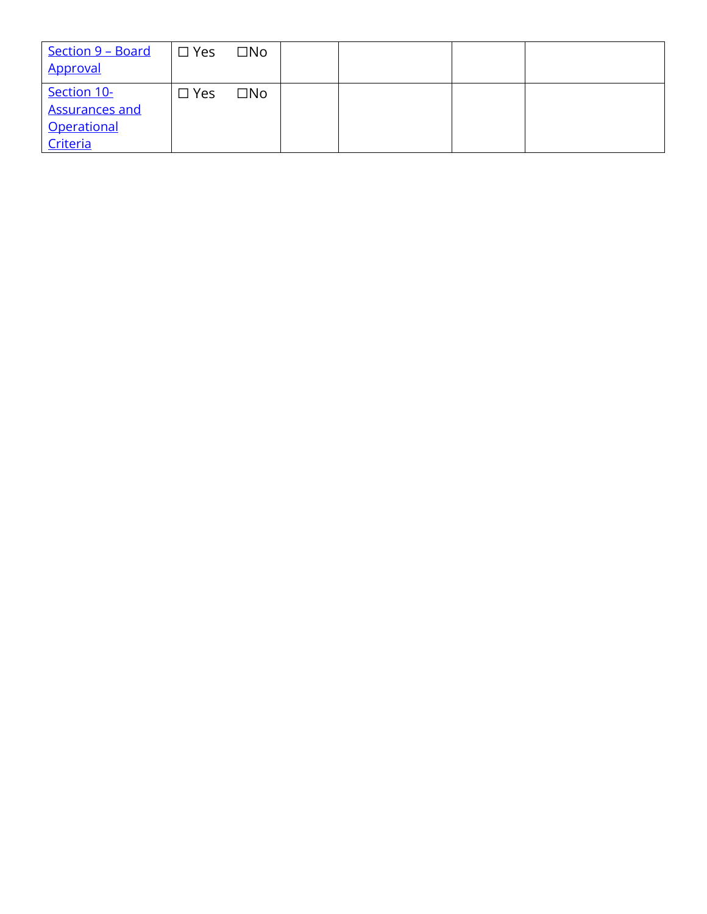| <u>Section 9 – Board</u><br>Approval                            | $\square$ Yes | $\square$ No |  |  |
|-----------------------------------------------------------------|---------------|--------------|--|--|
| Section 10-<br><b>Assurances and</b><br>Operational<br>Criteria | $\Box$ Yes    | $\Box$ No    |  |  |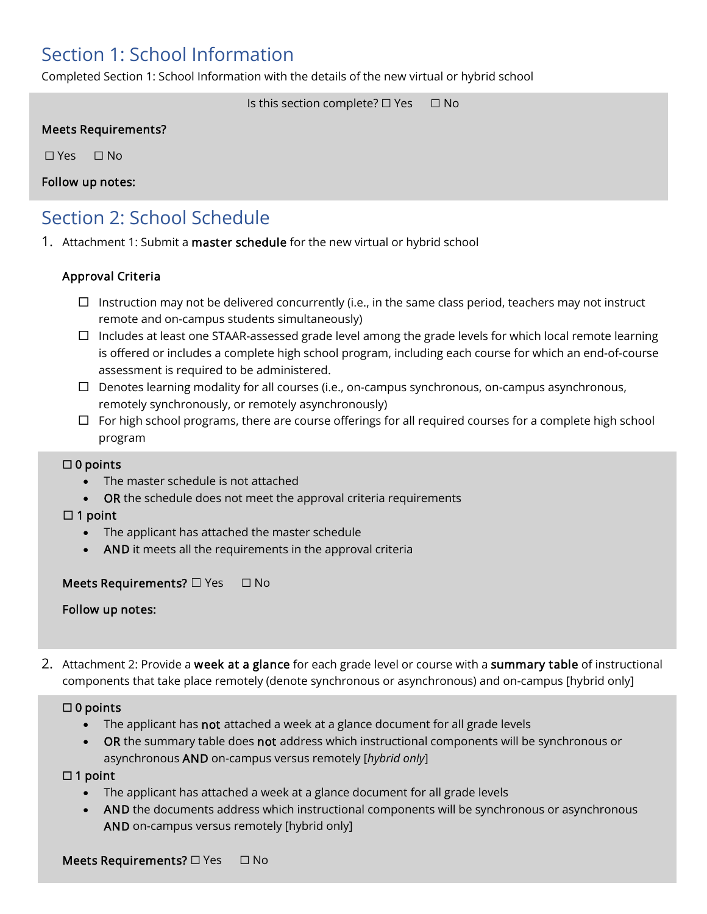## <span id="page-2-0"></span>Section 1: School Information

Completed Section 1: School Information with the details of the new virtual or hybrid school

Is this section complete? □ Yes □ No

#### Meets Requirements?

☐ Yes ☐ No

Follow up notes:

## <span id="page-2-1"></span>Section 2: School Schedule

1. Attachment 1: Submit a master schedule for the new virtual or hybrid school

#### Approval Criteria

- $\Box$  Instruction may not be delivered concurrently (i.e., in the same class period, teachers may not instruct remote and on-campus students simultaneously)
- $\Box$  Includes at least one STAAR-assessed grade level among the grade levels for which local remote learning is offered or includes a complete high school program, including each course for which an end-of-course assessment is required to be administered.
- $\Box$  Denotes learning modality for all courses (i.e., on-campus synchronous, on-campus asynchronous, remotely synchronously, or remotely asynchronously)
- $\Box$  For high school programs, there are course offerings for all required courses for a complete high school program

#### ☐ 0 points

- The master schedule is not attached
- **OR** the schedule does not meet the approval criteria requirements

#### $\Box$  1 point

- The applicant has attached the master schedule
- AND it meets all the requirements in the approval criteria

#### Meets Requirements? □ Yes □ No

Follow up notes:

2. Attachment 2: Provide a week at a glance for each grade level or course with a summary table of instructional components that take place remotely (denote synchronous or asynchronous) and on-campus [hybrid only]

#### ☐ 0 points

- The applicant has **not** attached a week at a glance document for all grade levels
- **OR** the summary table does not address which instructional components will be synchronous or asynchronous AND on-campus versus remotely [*hybrid only*]

#### $\Box$  1 point

- The applicant has attached a week at a glance document for all grade levels
- AND the documents address which instructional components will be synchronous or asynchronous AND on-campus versus remotely [hybrid only]

Meets Requirements? □ Yes □ No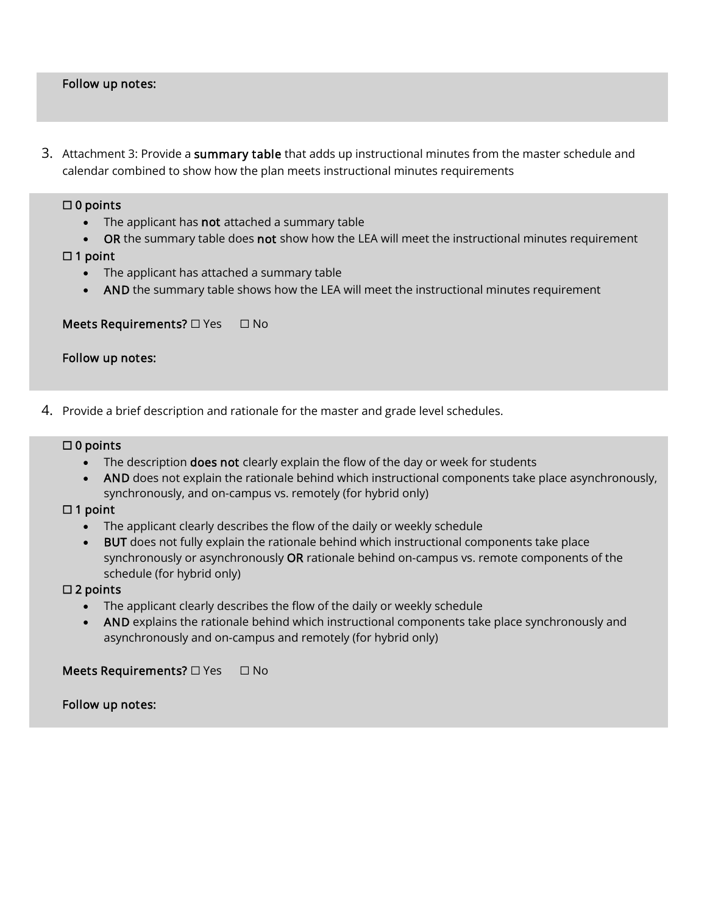#### Follow up notes:

3. Attachment 3: Provide a summary table that adds up instructional minutes from the master schedule and calendar combined to show how the plan meets instructional minutes requirements

#### ☐ 0 points

l

- The applicant has not attached a summary table
- OR the summary table does not show how the LEA will meet the instructional minutes requirement

☐ 1 point

- The applicant has attached a summary table
- AND the summary table shows how the LEA will meet the instructional minutes requirement

#### Meets Requirements? □ Yes □ No

#### Follow up notes:

4. Provide a brief description and rationale for the master and grade level schedules.

#### ☐ 0 points

Ï

- The description does not clearly explain the flow of the day or week for students
- AND does not explain the rationale behind which instructional components take place asynchronously, synchronously, and on-campus vs. remotely (for hybrid only)

#### ☐ 1 point

- The applicant clearly describes the flow of the daily or weekly schedule
- BUT does not fully explain the rationale behind which instructional components take place synchronously or asynchronously OR rationale behind on-campus vs. remote components of the schedule (for hybrid only)

#### ☐ 2 points

- The applicant clearly describes the flow of the daily or weekly schedule
- AND explains the rationale behind which instructional components take place synchronously and asynchronously and on-campus and remotely (for hybrid only)

#### <span id="page-3-0"></span>Meets Requirements? □ Yes □ No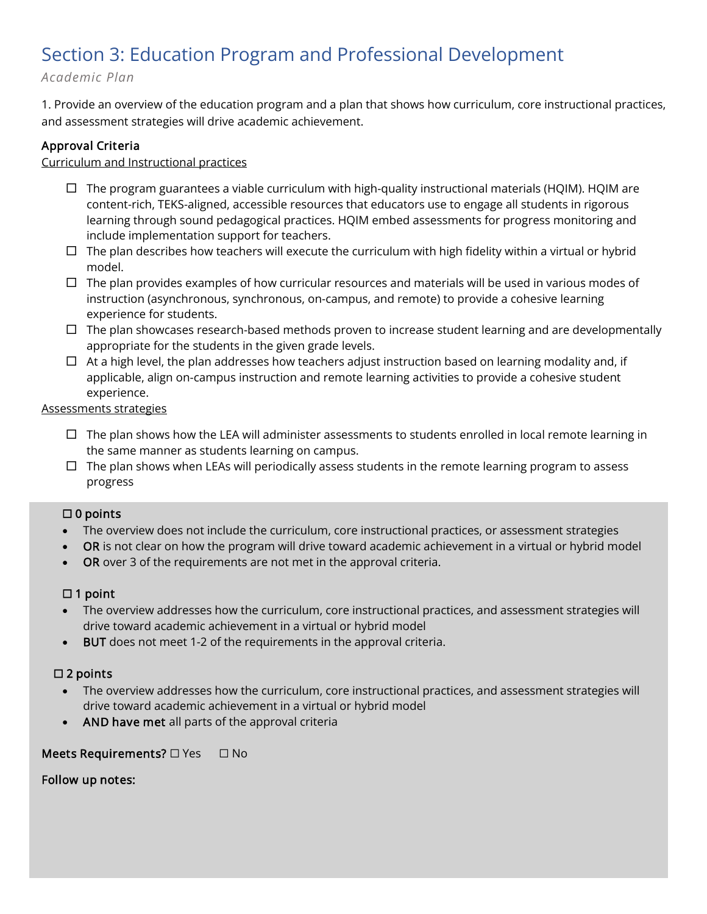## Section 3: Education Program and Professional Development

## *Academic Plan*

1. Provide an overview of the education program and a plan that shows how curriculum, core instructional practices, and assessment strategies will drive academic achievement.

## Approval Criteria

#### Curriculum and Instructional practices

- $\Box$  The program guarantees a viable curriculum with high-quality instructional materials (HQIM). HQIM are content-rich, TEKS-aligned, accessible resources that educators use to engage all students in rigorous learning through sound pedagogical practices. HQIM embed assessments for progress monitoring and include implementation support for teachers.
- $\Box$  The plan describes how teachers will execute the curriculum with high fidelity within a virtual or hybrid model.
- $\Box$  The plan provides examples of how curricular resources and materials will be used in various modes of instruction (asynchronous, synchronous, on-campus, and remote) to provide a cohesive learning experience for students.
- $\Box$  The plan showcases research-based methods proven to increase student learning and are developmentally appropriate for the students in the given grade levels.
- $\Box$  At a high level, the plan addresses how teachers adjust instruction based on learning modality and, if applicable, align on-campus instruction and remote learning activities to provide a cohesive student experience.

#### Assessments strategies

- $\Box$  The plan shows how the LEA will administer assessments to students enrolled in local remote learning in the same manner as students learning on campus.
- $\Box$  The plan shows when LEAs will periodically assess students in the remote learning program to assess progress

#### ☐ 0 points

- The overview does not include the curriculum, core instructional practices, or assessment strategies
- OR is not clear on how the program will drive toward academic achievement in a virtual or hybrid model
- OR over 3 of the requirements are not met in the approval criteria.

#### $\Box$  1 point

- The overview addresses how the curriculum, core instructional practices, and assessment strategies will drive toward academic achievement in a virtual or hybrid model
- BUT does not meet 1-2 of the requirements in the approval criteria.

#### $\square$  2 points

- The overview addresses how the curriculum, core instructional practices, and assessment strategies will drive toward academic achievement in a virtual or hybrid model
- AND have met all parts of the approval criteria

#### Meets Requirements? □ Yes □ No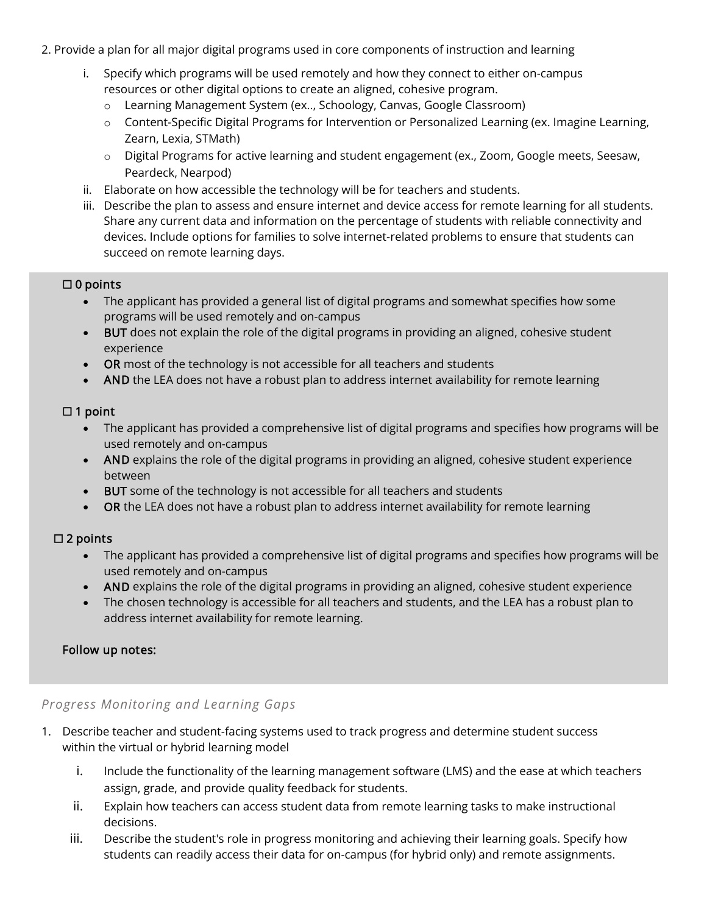- 2. Provide a plan for all major digital programs used in core components of instruction and learning
	- i. Specify which programs will be used remotely and how they connect to either on-campus resources or other digital options to create an aligned, cohesive program.
		- o Learning Management System (ex.., Schoology, Canvas, Google Classroom)
		- o Content-Specific Digital Programs for Intervention or Personalized Learning (ex. Imagine Learning, Zearn, Lexia, STMath)
		- o Digital Programs for active learning and student engagement (ex., Zoom, Google meets, Seesaw, Peardeck, Nearpod)
	- ii. Elaborate on how accessible the technology will be for teachers and students.
	- iii. Describe the plan to assess and ensure internet and device access for remote learning for all students. Share any current data and information on the percentage of students with reliable connectivity and devices. Include options for families to solve internet-related problems to ensure that students can succeed on remote learning days.

#### ☐ 0 points

- The applicant has provided a general list of digital programs and somewhat specifies how some programs will be used remotely and on-campus
- BUT does not explain the role of the digital programs in providing an aligned, cohesive student experience
- OR most of the technology is not accessible for all teachers and students
- AND the LEA does not have a robust plan to address internet availability for remote learning

#### $\Box$  1 point

- The applicant has provided a comprehensive list of digital programs and specifies how programs will be used remotely and on-campus
- AND explains the role of the digital programs in providing an aligned, cohesive student experience between
- BUT some of the technology is not accessible for all teachers and students
- OR the LEA does not have a robust plan to address internet availability for remote learning

#### ☐ 2 points

- The applicant has provided a comprehensive list of digital programs and specifies how programs will be used remotely and on-campus
- AND explains the role of the digital programs in providing an aligned, cohesive student experience
- The chosen technology is accessible for all teachers and students, and the LEA has a robust plan to address internet availability for remote learning.

#### Follow up notes:

#### *Progress Monitoring and Learning Gaps*

- 1. Describe teacher and student-facing systems used to track progress and determine student success within the virtual or hybrid learning model
	- i. Include the functionality of the learning management software (LMS) and the ease at which teachers assign, grade, and provide quality feedback for students.
	- ii. Explain how teachers can access student data from remote learning tasks to make instructional decisions.
	- iii. Describe the student's role in progress monitoring and achieving their learning goals. Specify how students can readily access their data for on-campus (for hybrid only) and remote assignments.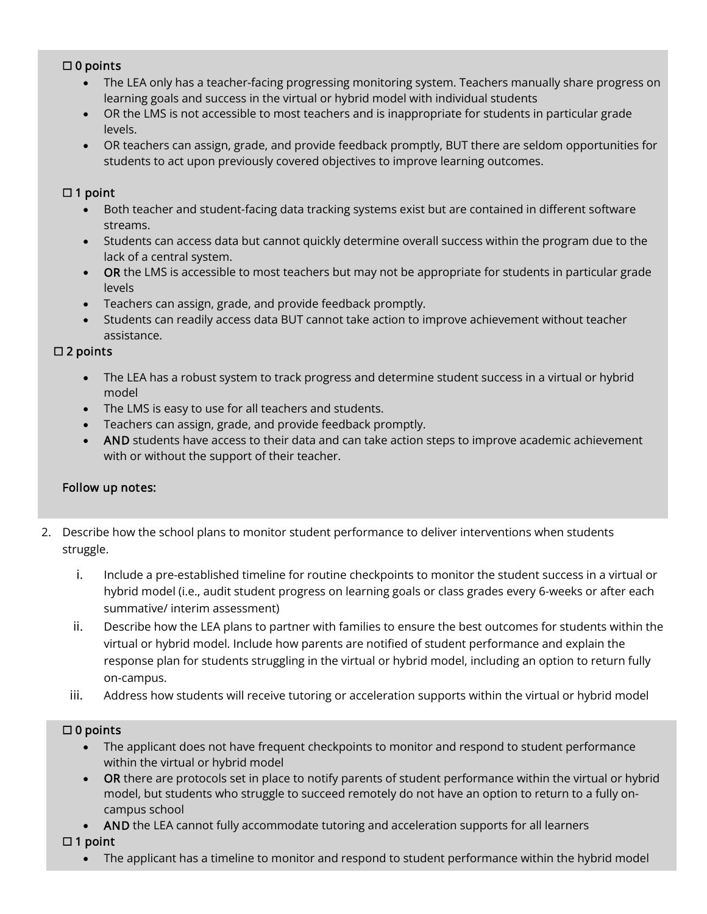#### ☐ 0 points

- The LEA only has a teacher-facing progressing monitoring system. Teachers manually share progress on learning goals and success in the virtual or hybrid model with individual students
- OR the LMS is not accessible to most teachers and is inappropriate for students in particular grade levels.
- OR teachers can assign, grade, and provide feedback promptly, BUT there are seldom opportunities for students to act upon previously covered objectives to improve learning outcomes.

#### $\Box$  1 point

- Both teacher and student-facing data tracking systems exist but are contained in different software streams.
- Students can access data but cannot quickly determine overall success within the program due to the lack of a central system.
- OR the LMS is accessible to most teachers but may not be appropriate for students in particular grade levels
- Teachers can assign, grade, and provide feedback promptly.
- Students can readily access data BUT cannot take action to improve achievement without teacher assistance.

#### ☐ 2 points

- The LEA has a robust system to track progress and determine student success in a virtual or hybrid model
- The LMS is easy to use for all teachers and students.
- Teachers can assign, grade, and provide feedback promptly.
- AND students have access to their data and can take action steps to improve academic achievement with or without the support of their teacher.

#### Follow up notes:

- 2. Describe how the school plans to monitor student performance to deliver interventions when students struggle.
	- i. Include a pre-established timeline for routine checkpoints to monitor the student success in a virtual or hybrid model (i.e., audit student progress on learning goals or class grades every 6-weeks or after each summative/ interim assessment)
	- ii. Describe how the LEA plans to partner with families to ensure the best outcomes for students within the virtual or hybrid model. Include how parents are notified of student performance and explain the response plan for students struggling in the virtual or hybrid model, including an option to return fully on-campus.
	- iii. Address how students will receive tutoring or acceleration supports within the virtual or hybrid model

## $\square$  0 points

- The applicant does not have frequent checkpoints to monitor and respond to student performance within the virtual or hybrid model
- OR there are protocols set in place to notify parents of student performance within the virtual or hybrid model, but students who struggle to succeed remotely do not have an option to return to a fully oncampus school
- AND the LEA cannot fully accommodate tutoring and acceleration supports for all learners
- $\Box$  1 point
	- The applicant has a timeline to monitor and respond to student performance within the hybrid model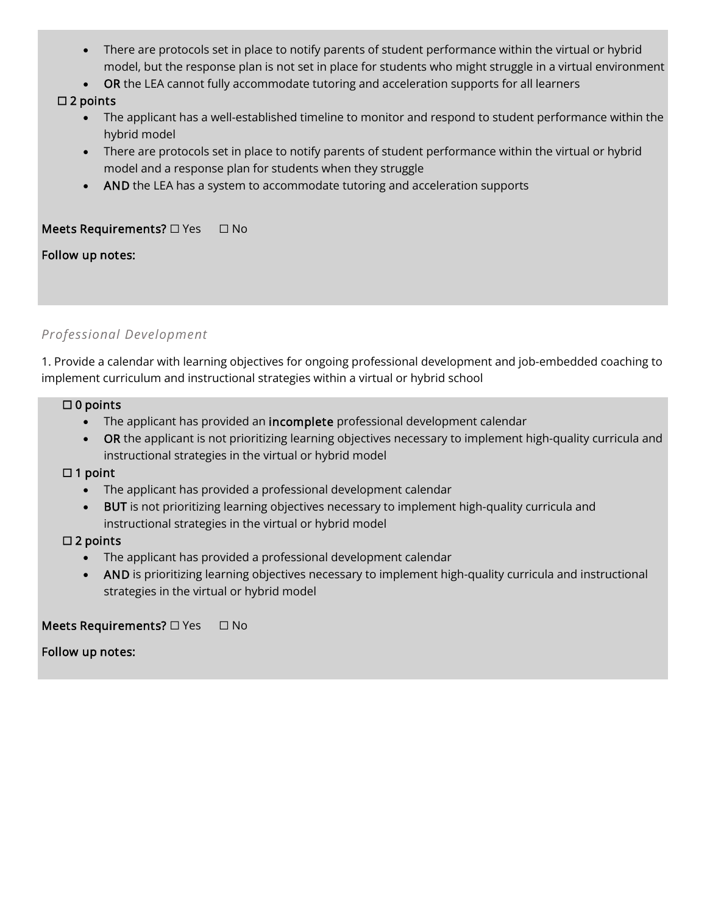- There are protocols set in place to notify parents of student performance within the virtual or hybrid model, but the response plan is not set in place for students who might struggle in a virtual environment
- OR the LEA cannot fully accommodate tutoring and acceleration supports for all learners

## ☐ 2 points

- The applicant has a well-established timeline to monitor and respond to student performance within the hybrid model
- There are protocols set in place to notify parents of student performance within the virtual or hybrid model and a response plan for students when they struggle
- AND the LEA has a system to accommodate tutoring and acceleration supports

## Meets Requirements? □ Yes □ No

#### Follow up notes:

I

## *Professional Development*

1. Provide a calendar with learning objectives for ongoing professional development and job-embedded coaching to implement curriculum and instructional strategies within a virtual or hybrid school

#### ☐ 0 points

- The applicant has provided an incomplete professional development calendar
- OR the applicant is not prioritizing learning objectives necessary to implement high-quality curricula and instructional strategies in the virtual or hybrid model

#### $\Box$  1 point

- The applicant has provided a professional development calendar
- BUT is not prioritizing learning objectives necessary to implement high-quality curricula and instructional strategies in the virtual or hybrid model

#### $\square$  2 points

- The applicant has provided a professional development calendar
- AND is prioritizing learning objectives necessary to implement high-quality curricula and instructional strategies in the virtual or hybrid model

## <span id="page-7-0"></span>Meets Requirements? □ Yes □ No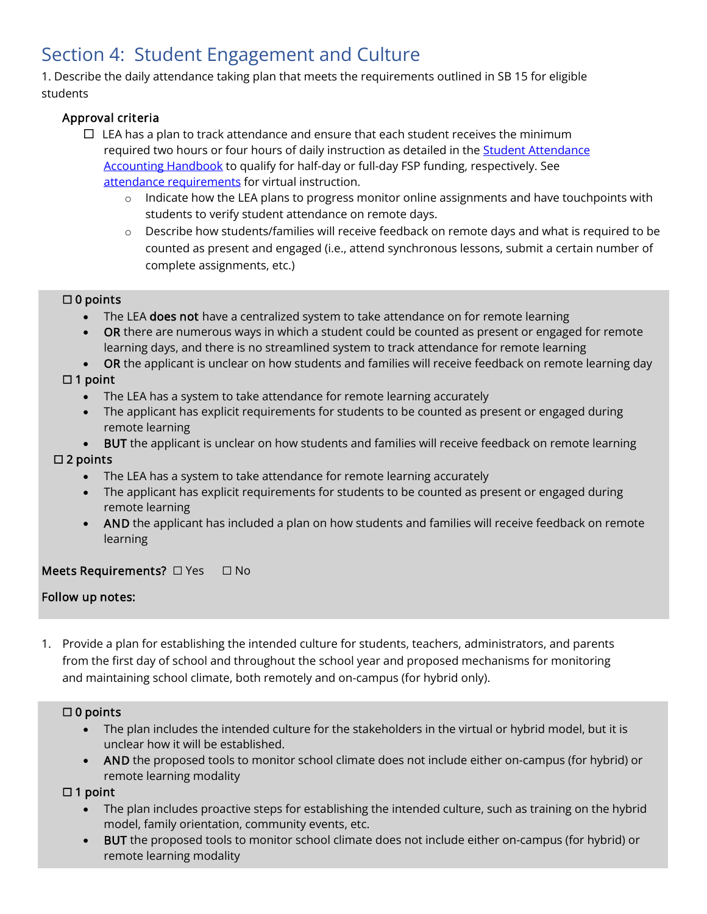## Section 4: Student Engagement and Culture

1. Describe the daily attendance taking plan that meets the requirements outlined in SB 15 for eligible students

## Approval criteria

- $\Box$  LEA has a plan to track attendance and ensure that each student receives the minimum required two hours or four hours of daily instruction as detailed in the Student Attendance [Accounting Handbook](https://tea.texas.gov/finance-and-grants/financial-compliance/student-attendance-accounting-handbook) to qualify for half-day or full-day FSP funding, respectively. See [attendance requirements](https://tea.texas.gov/sites/default/files/covid/Virtual-Learning.pdf) for virtual instruction.
	- $\circ$  Indicate how the LEA plans to progress monitor online assignments and have touchpoints with students to verify student attendance on remote days.
	- $\circ$  Describe how students/families will receive feedback on remote days and what is required to be counted as present and engaged (i.e., attend synchronous lessons, submit a certain number of complete assignments, etc.)

#### $\Box$  0 points

- The LEA **does not** have a centralized system to take attendance on for remote learning
- OR there are numerous ways in which a student could be counted as present or engaged for remote learning days, and there is no streamlined system to track attendance for remote learning
- OR the applicant is unclear on how students and families will receive feedback on remote learning day

#### $\Box$  1 point

- The LEA has a system to take attendance for remote learning accurately
- The applicant has explicit requirements for students to be counted as present or engaged during remote learning
- BUT the applicant is unclear on how students and families will receive feedback on remote learning

## $\square$  2 points

- The LEA has a system to take attendance for remote learning accurately
- The applicant has explicit requirements for students to be counted as present or engaged during remote learning
- AND the applicant has included a plan on how students and families will receive feedback on remote learning

## Meets Requirements? □ Yes □ No

## Follow up notes:

1. Provide a plan for establishing the intended culture for students, teachers, administrators, and parents from the first day of school and throughout the school year and proposed mechanisms for monitoring and maintaining school climate, both remotely and on-campus (for hybrid only).

#### $\square$  0 points

- The plan includes the intended culture for the stakeholders in the virtual or hybrid model, but it is unclear how it will be established.
- AND the proposed tools to monitor school climate does not include either on-campus (for hybrid) or remote learning modality

## $\Box$  1 point

- The plan includes proactive steps for establishing the intended culture, such as training on the hybrid model, family orientation, community events, etc.
- BUT the proposed tools to monitor school climate does not include either on-campus (for hybrid) or remote learning modality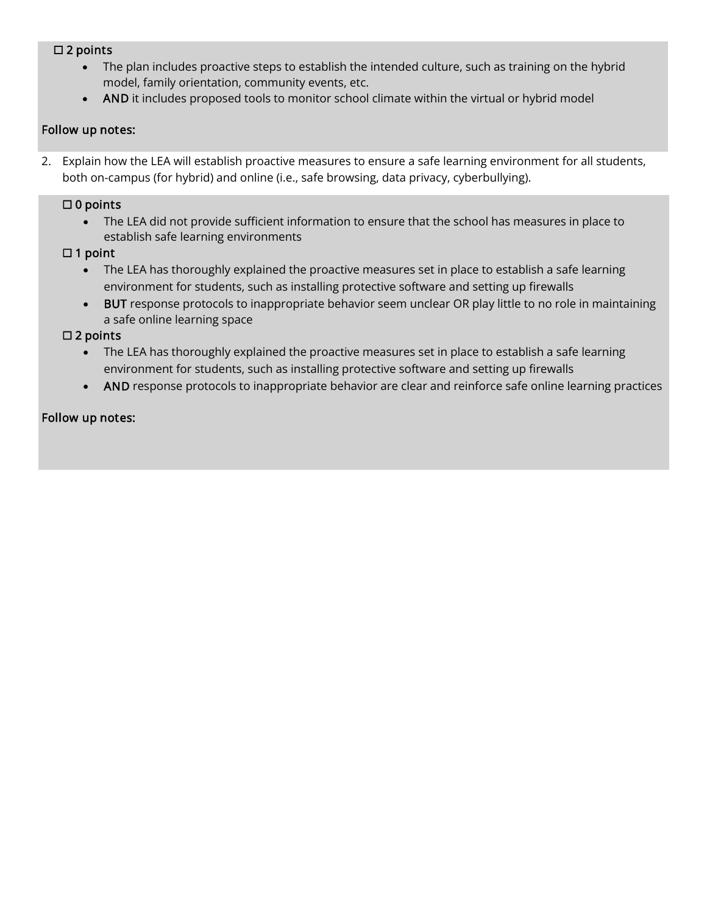#### ☐ 2 points

- The plan includes proactive steps to establish the intended culture, such as training on the hybrid model, family orientation, community events, etc.
- AND it includes proposed tools to monitor school climate within the virtual or hybrid model

#### Follow up notes:

2. Explain how the LEA will establish proactive measures to ensure a safe learning environment for all students, both on-campus (for hybrid) and online (i.e., safe browsing, data privacy, cyberbullying).

#### ☐ 0 points

• The LEA did not provide sufficient information to ensure that the school has measures in place to establish safe learning environments

#### ☐ 1 point

- The LEA has thoroughly explained the proactive measures set in place to establish a safe learning environment for students, such as installing protective software and setting up firewalls
- BUT response protocols to inappropriate behavior seem unclear OR play little to no role in maintaining a safe online learning space

#### ☐ 2 points

- The LEA has thoroughly explained the proactive measures set in place to establish a safe learning environment for students, such as installing protective software and setting up firewalls
- <span id="page-9-0"></span>• AND response protocols to inappropriate behavior are clear and reinforce safe online learning practices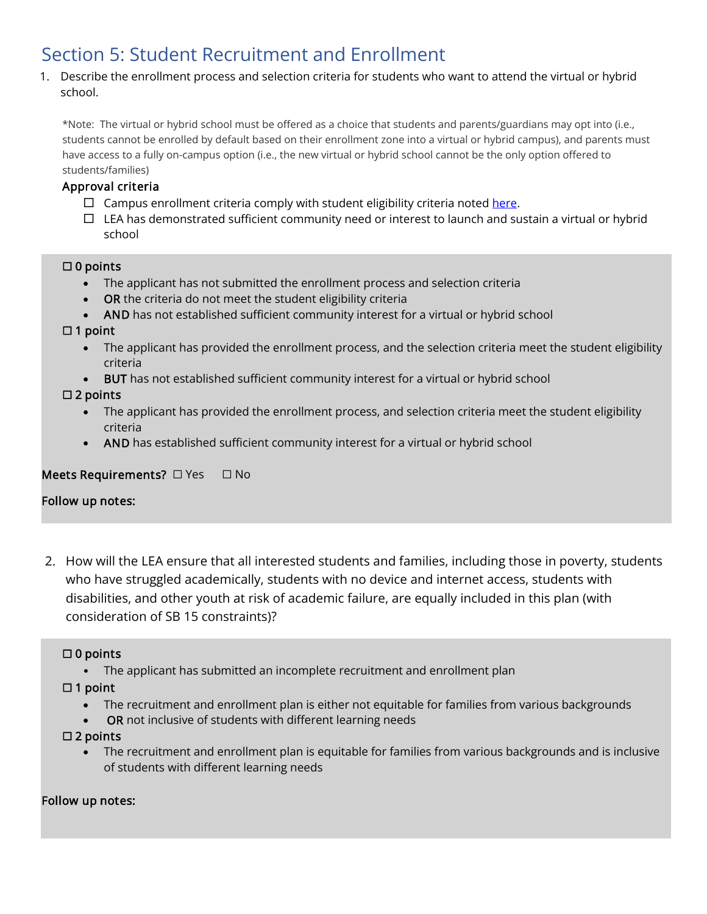## Section 5: Student Recruitment and Enrollment

1. Describe the enrollment process and selection criteria for students who want to attend the virtual or hybrid school.

\*Note: The virtual or hybrid school must be offered as a choice that students and parents/guardians may opt into (i.e., students cannot be enrolled by default based on their enrollment zone into a virtual or hybrid campus), and parents must have access to a fully on-campus option (i.e., the new virtual or hybrid school cannot be the only option offered to students/families)

### Approval criteria

- $\Box$  Campus enrollment criteria comply with student eligibility criteria noted [here.](https://tea.texas.gov/sites/default/files/covid/TAA_SB-15.pdf)
- $\Box$  LEA has demonstrated sufficient community need or interest to launch and sustain a virtual or hybrid school

#### ☐ 0 points

- The applicant has not submitted the enrollment process and selection criteria
- **OR** the criteria do not meet the student eligibility criteria
- AND has not established sufficient community interest for a virtual or hybrid school

#### ☐ 1 point

- The applicant has provided the enrollment process, and the selection criteria meet the student eligibility criteria
- BUT has not established sufficient community interest for a virtual or hybrid school

#### $\square$  2 points

- The applicant has provided the enrollment process, and selection criteria meet the student eligibility criteria
- AND has established sufficient community interest for a virtual or hybrid school

## Meets Requirements? □ Yes □ No

#### Follow up notes:

2. How will the LEA ensure that all interested students and families, including those in poverty, students who have struggled academically, students with no device and internet access, students with disabilities, and other youth at risk of academic failure, are equally included in this plan (with consideration of SB 15 constraints)?

## $\Box$  0 points

• The applicant has submitted an incomplete recruitment and enrollment plan

## $\Box$  1 point

- The recruitment and enrollment plan is either not equitable for families from various backgrounds
- **OR** not inclusive of students with different learning needs

## □ 2 points

• The recruitment and enrollment plan is equitable for families from various backgrounds and is inclusive of students with different learning needs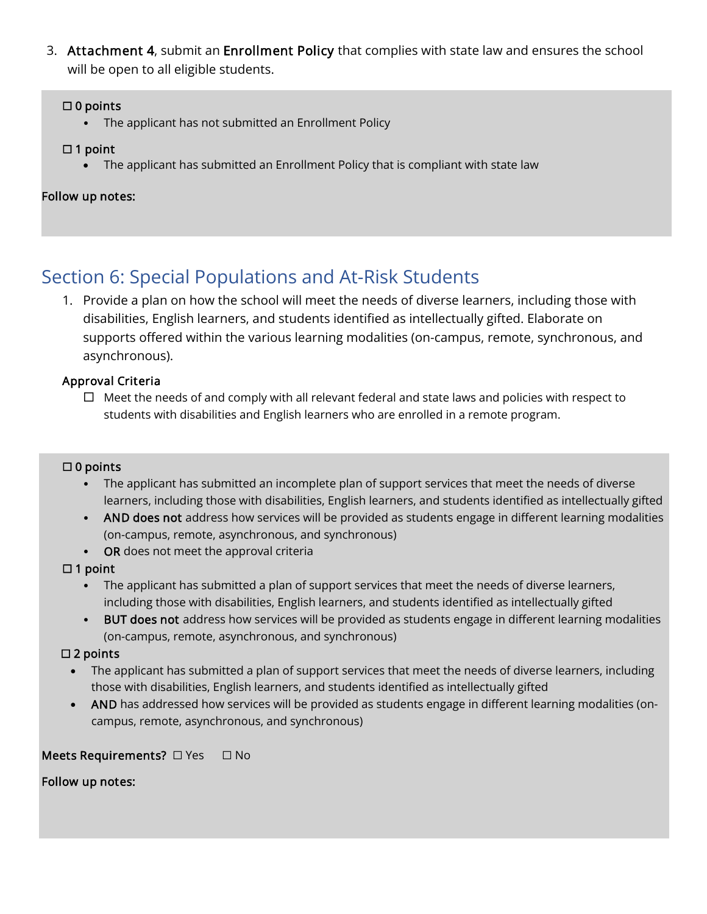3. Attachment 4, submit an Enrollment Policy that complies with [state law](https://statutes.capitol.texas.gov/Docs/ED/htm/ED.25.htm) and ensures the school will be open to all eligible students.

### $\Box$  0 points

• The applicant has not submitted an Enrollment Policy

#### $\Box$  1 point

• The applicant has submitted an Enrollment Policy that is compliant with state law

#### Follow up notes:

## <span id="page-11-0"></span>Section 6: Special Populations and At-Risk Students

1. Provide a plan on how the school will meet the needs of diverse learners, including those with disabilities, English learners, and students identified as intellectually gifted. Elaborate on supports offered within the various learning modalities (on-campus, remote, synchronous, and asynchronous).

#### Approval Criteria

 $\Box$  Meet the needs of and comply with all relevant federal and state laws and policies with respect to students with disabilities and English learners who are enrolled in a remote program.

#### $\square$  0 points

- The applicant has submitted an incomplete plan of support services that meet the needs of diverse learners, including those with disabilities, English learners, and students identified as intellectually gifted
- AND does not address how services will be provided as students engage in different learning modalities (on-campus, remote, asynchronous, and synchronous)
- OR does not meet the approval criteria

#### $\Box$  1 point

- The applicant has submitted a plan of support services that meet the needs of diverse learners, including those with disabilities, English learners, and students identified as intellectually gifted
- BUT does not address how services will be provided as students engage in different learning modalities (on-campus, remote, asynchronous, and synchronous)

## ☐ 2 points

- The applicant has submitted a plan of support services that meet the needs of diverse learners, including those with disabilities, English learners, and students identified as intellectually gifted
- AND has addressed how services will be provided as students engage in different learning modalities (oncampus, remote, asynchronous, and synchronous)

## Meets Requirements? □ Yes □ No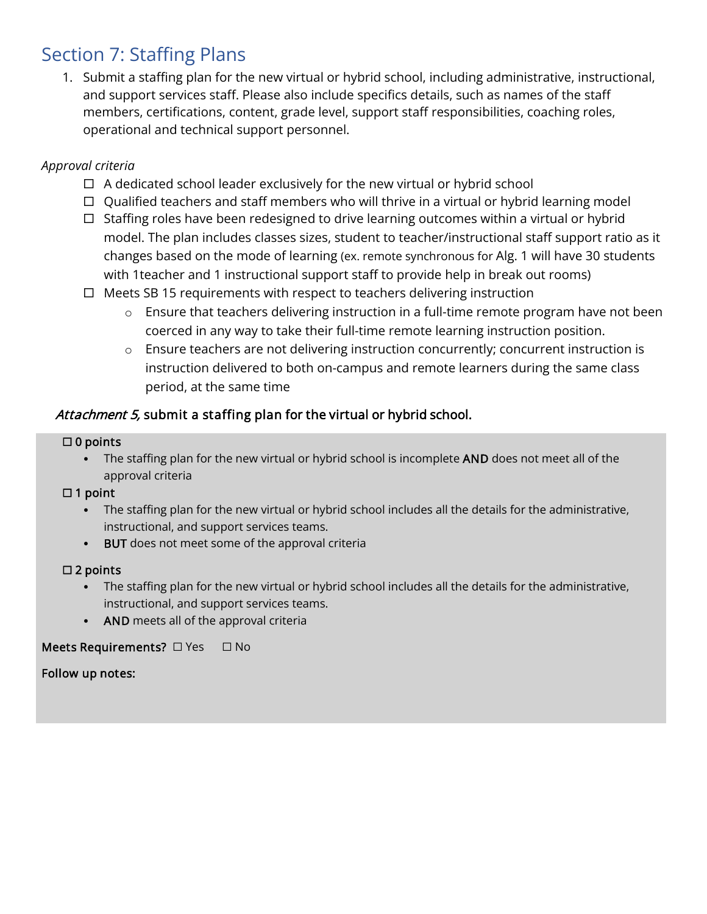## <span id="page-12-0"></span>Section 7: Staffing Plans

1. Submit a staffing plan for the new virtual or hybrid school, including administrative, instructional, and support services staff. Please also include specifics details, such as names of the staff members, certifications, content, grade level, support staff responsibilities, coaching roles, operational and technical support personnel.

## *Approval criteria*

- $\Box$  A dedicated school leader exclusively for the new virtual or hybrid school
- $\Box$  Qualified teachers and staff members who will thrive in a virtual or hybrid learning model
- $\Box$  Staffing roles have been redesigned to drive learning outcomes within a virtual or hybrid model. The plan includes classes sizes, student to teacher/instructional staff support ratio as it changes based on the mode of learning (ex. remote synchronous for Alg. 1 will have 30 students with 1teacher and 1 instructional support staff to provide help in break out rooms)
- $\Box$  Meets SB 15 requirements with respect to teachers delivering instruction
	- $\circ$  Ensure that teachers delivering instruction in a full-time remote program have not been coerced in any way to take their full-time remote learning instruction position.
	- o Ensure teachers are not delivering instruction concurrently; concurrent instruction is instruction delivered to both on-campus and remote learners during the same class period, at the same time

## Attachment 5, submit a staffing plan for the virtual or hybrid school.

#### $\square$  0 points

• The staffing plan for the new virtual or hybrid school is incomplete AND does not meet all of the approval criteria

## $\Box$  1 point

- The staffing plan for the new virtual or hybrid school includes all the details for the administrative, instructional, and support services teams.
- BUT does not meet some of the approval criteria

#### □ 2 points

- The staffing plan for the new virtual or hybrid school includes all the details for the administrative, instructional, and support services teams.
- AND meets all of the approval criteria

<span id="page-12-1"></span>Meets Requirements? □ Yes □ No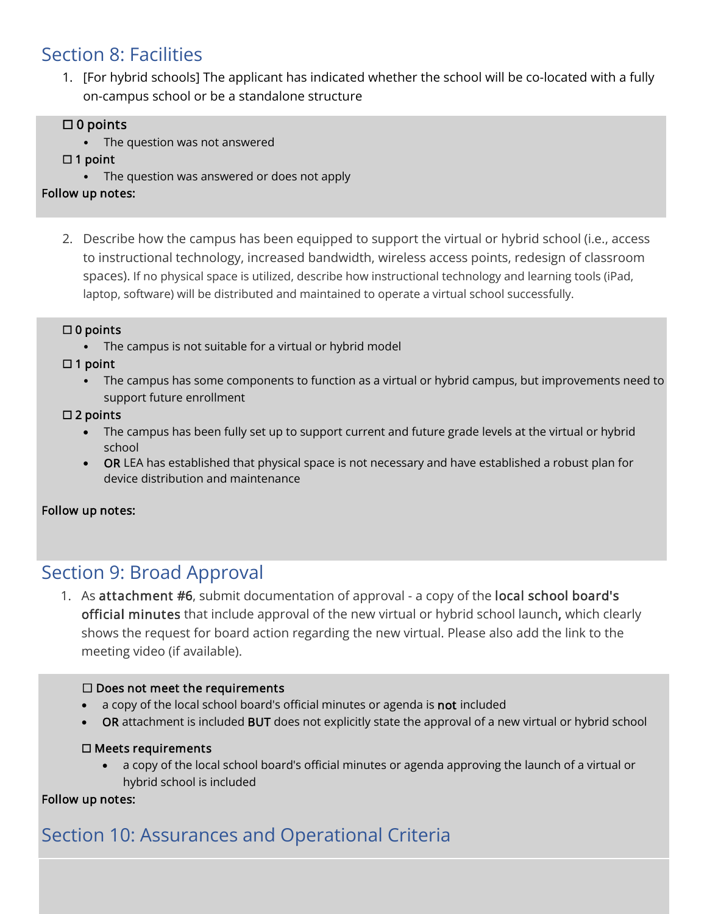## Section 8: Facilities

1. [For hybrid schools] The applicant has indicated whether the school will be co-located with a fully on-campus school or be a standalone structure

## $\Box$  0 points

• The question was not answered

## □ 1 point

• The question was answered or does not apply

## Follow up notes:

2. Describe how the campus has been equipped to support the virtual or hybrid school (i.e., access to instructional technology, increased bandwidth, wireless access points, redesign of classroom spaces). If no physical space is utilized, describe how instructional technology and learning tools (iPad, laptop, software) will be distributed and maintained to operate a virtual school successfully.

## ☐ 0 points

The campus is not suitable for a virtual or hybrid model

☐ 1 point

• The campus has some components to function as a virtual or hybrid campus, but improvements need to support future enrollment

## $\square$  2 points

- The campus has been fully set up to support current and future grade levels at the virtual or hybrid school
- OR LEA has established that physical space is not necessary and have established a robust plan for device distribution and maintenance

## Follow up notes:

## <span id="page-13-0"></span>Section 9: Broad Approval

1. As attachment #6, submit documentation of approval - a copy of the local school board's official minutes that include approval of the new virtual or hybrid school launch, which clearly shows the request for board action regarding the new virtual. Please also add the link to the meeting video (if available).

## $\Box$  Does not meet the requirements

- a copy of the local school board's official minutes or agenda is not included
- OR attachment is included BUT does not explicitly state the approval of a new virtual or hybrid school

## ☐ Meets requirements

• a copy of the local school board's official minutes or agenda approving the launch of a virtual or hybrid school is included

## Follow up notes:

l

# <span id="page-13-1"></span>Section 10: Assurances and Operational Criteria